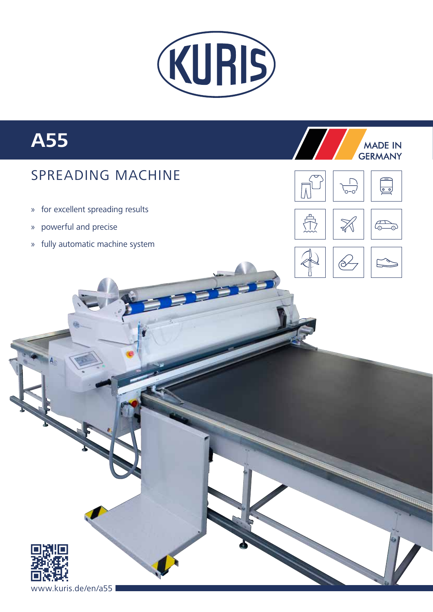

# **A55**

## SPREADING MACHINE

- » for excellent spreading results
- » powerful and precise
- » fully automatic machine system





**MADE IN** 





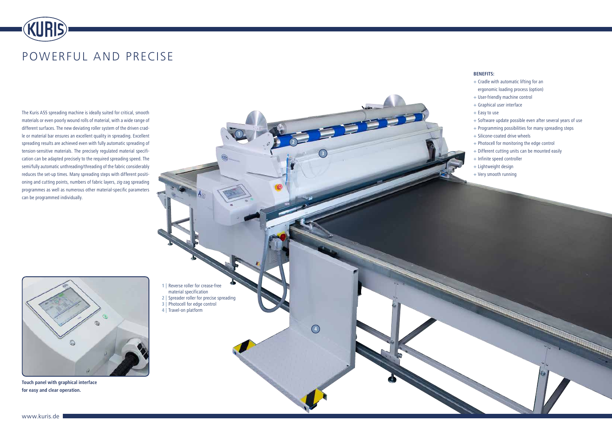

# POWERFUL AND PRECISE

The Kuris A55 spreading machine is ideally suited for critical, smooth materials or even poorly wound rolls of material, with a wide range of different surfaces. The new deviating roller system of the driven cradle or material bar ensures an excellent quality in spreading. Excellent spreading results are achieved even with fully automatic spreading of tension-sensitive materials. The precisely regulated material specification can be adapted precisely to the required spreading speed. The semi/fully automatic unthreading/threading of the fabric considerably reduces the set-up times. Many spreading steps with different positioning and cutting points, numbers of fabric layers, zig-zag spreading programmes as well as numerous other material-specific parameters can be programmed individually.

> **1 |** Reverse roller for crease-free material specification

- **2 |** Spreader roller for precise spreading
- **3 |** Photocell for edge control
- **4 |** Travel-on platform

#### **BENEFITS:**

- **+** Cradle with automatic lifting for an ergonomic loading process (option)
- **+** User-friendly machine control
- **+** Graphical user interface
- **+** Easy to use
- **+** Software update possible even after several years of use
- **+** Programming possibilities for many spreading steps
- **+** Silicone-coated drive wheels
- **+** Photocell for monitoring the edge control
- **+** Different cutting units can be mounted easily
- **+** Infinite speed controller
- **+** Lightweight design
- **+** Very smooth running



**Touch panel with graphical interface for easy and clear operation.**

**2**

**3**

**4**